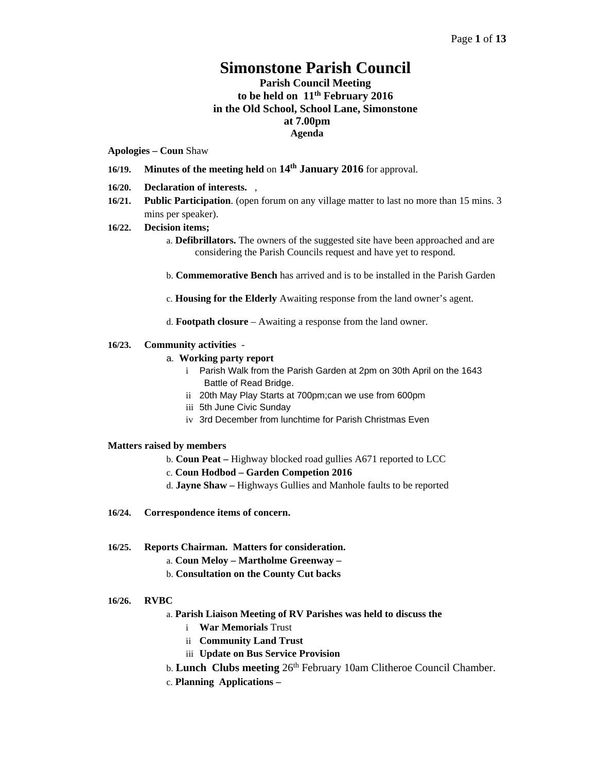# **Simonstone Parish Council**

# **Parish Council Meeting to be held on 11th February 2016 in the Old School, School Lane, Simonstone at 7.00pm Agenda**

#### **Apologies – Coun** Shaw

- **16/19. Minutes of the meeting held** on **14th January 2016** for approval.
- **16/20. Declaration of interests.** ,
- **16/21. Public Participation**. (open forum on any village matter to last no more than 15 mins. 3 mins per speaker).

#### **16/22. Decision items;**

- a. **Defibrillators.** The owners of the suggested site have been approached and are considering the Parish Councils request and have yet to respond.
- b. **Commemorative Bench** has arrived and is to be installed in the Parish Garden
- c. **Housing for the Elderly** Awaiting response from the land owner's agent.
- d. **Footpath closure** Awaiting a response from the land owner.

#### **16/23. Community activities** -

#### a. **Working party report**

- i Parish Walk from the Parish Garden at 2pm on 30th April on the 1643 Battle of Read Bridge.
- ii 20th May Play Starts at 700pm;can we use from 600pm
- iii 5th June Civic Sunday
- iv 3rd December from lunchtime for Parish Christmas Even

#### **Matters raised by members**

- b. **Coun Peat** Highway blocked road gullies A671 reported to LCC
- c. **Coun Hodbod Garden Competion 2016**
- d. **Jayne Shaw** Highways Gullies and Manhole faults to be reported
- **16/24. Correspondence items of concern.**

#### **16/25. Reports Chairman. Matters for consideration.**

- a. **Coun Meloy Martholme Greenway**
- b. **Consultation on the County Cut backs**

#### **16/26. RVBC**

- a. **Parish Liaison Meeting of RV Parishes was held to discuss the**
	- i **War Memorials** Trust
	- ii **Community Land Trust**
	- iii **Update on Bus Service Provision**
- b. **Lunch Clubs meeting** 26th February 10am Clitheroe Council Chamber.
- c. **Planning Applications –**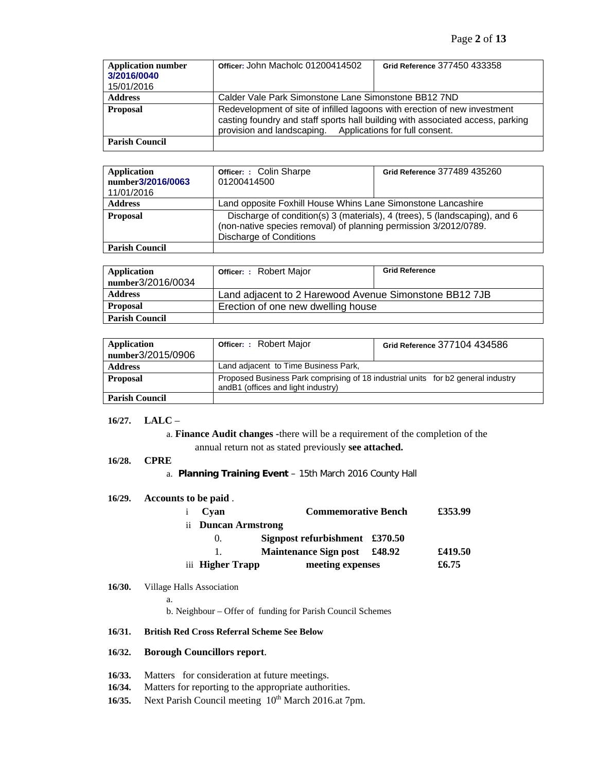| <b>Application number</b><br>3/2016/0040<br>15/01/2016 | Officer: John Macholc 01200414502                                                                                                                                                                                        | Grid Reference 377450 433358 |  |
|--------------------------------------------------------|--------------------------------------------------------------------------------------------------------------------------------------------------------------------------------------------------------------------------|------------------------------|--|
| <b>Address</b>                                         | Calder Vale Park Simonstone Lane Simonstone BB12 7ND                                                                                                                                                                     |                              |  |
| <b>Proposal</b>                                        | Redevelopment of site of infilled lagoons with erection of new investment<br>casting foundry and staff sports hall building with associated access, parking<br>provision and landscaping. Applications for full consent. |                              |  |
| <b>Parish Council</b>                                  |                                                                                                                                                                                                                          |                              |  |

| <b>Application</b><br>number3/2016/0063<br>11/01/2016 | <b>Officer: : Colin Sharpe</b><br>01200414500                                                                                                                             | Grid Reference 377489 435260 |
|-------------------------------------------------------|---------------------------------------------------------------------------------------------------------------------------------------------------------------------------|------------------------------|
| <b>Address</b>                                        | Land opposite Foxhill House Whins Lane Simonstone Lancashire                                                                                                              |                              |
| <b>Proposal</b>                                       | Discharge of condition(s) 3 (materials), 4 (trees), 5 (landscaping), and 6<br>(non-native species removal) of planning permission 3/2012/0789.<br>Discharge of Conditions |                              |
| <b>Parish Council</b>                                 |                                                                                                                                                                           |                              |

| <b>Application</b>    | <b>Officer: : Robert Major</b>                         | <b>Grid Reference</b> |
|-----------------------|--------------------------------------------------------|-----------------------|
| number3/2016/0034     |                                                        |                       |
| <b>Address</b>        | Land adjacent to 2 Harewood Avenue Simonstone BB12 7JB |                       |
| <b>Proposal</b>       | Erection of one new dwelling house                     |                       |
| <b>Parish Council</b> |                                                        |                       |

| <b>Application</b><br>number3/2015/0906 | <b>Officer: : Robert Major</b>                                                                                         | Grid Reference 377104 434586 |
|-----------------------------------------|------------------------------------------------------------------------------------------------------------------------|------------------------------|
| <b>Address</b>                          | Land adjacent to Time Business Park,                                                                                   |                              |
| <b>Proposal</b>                         | Proposed Business Park comprising of 18 industrial units for b2 general industry<br>andB1 (offices and light industry) |                              |
| <b>Parish Council</b>                   |                                                                                                                        |                              |

### **16/27. LALC** –

a. **Finance Audit changes -**there will be a requirement of the completion of the annual return not as stated previously **see attached.** 

#### **16/28. CPRE**

a. **Planning Training Event** – 15th March 2016 County Hall

#### **16/29. Accounts to be paid** .

| i Cvan              | <b>Commemorative Bench</b>     | £353.99 |
|---------------------|--------------------------------|---------|
| ii Duncan Armstrong |                                |         |
| $\Omega$            | Signpost refurbishment £370.50 |         |
|                     | Maintenance Sign post £48.92   | £419.50 |
| iii Higher Trapp    | meeting expenses               | £6.75   |

#### **16/30.** Village Halls Association

a.

b. Neighbour – Offer of funding for Parish Council Schemes

#### **16/31. British Red Cross Referral Scheme See Below**

### **16/32. Borough Councillors report**.

- **16/33.** Matters for consideration at future meetings.
- **16/34.** Matters for reporting to the appropriate authorities.
- **16/35.** Next Parish Council meeting  $10^{th}$  March 2016.at 7pm.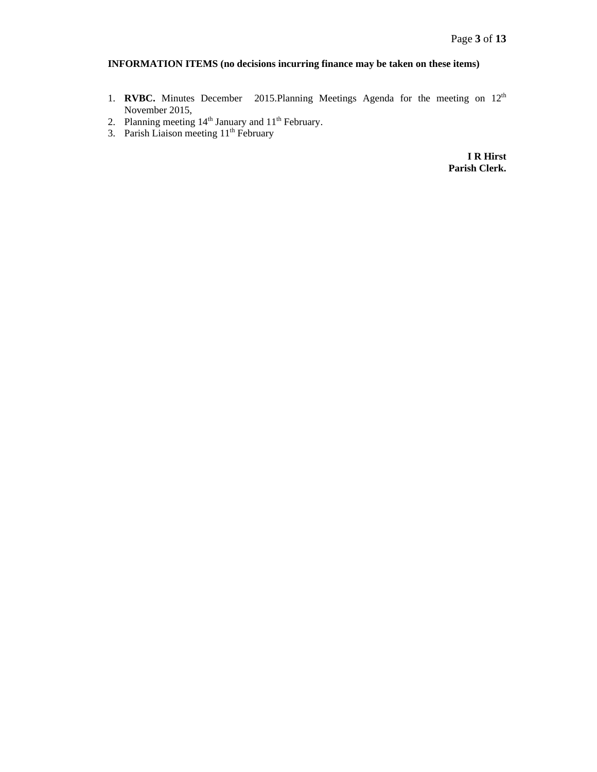# **INFORMATION ITEMS (no decisions incurring finance may be taken on these items)**

- 1. **RVBC.** Minutes December 2015. Planning Meetings Agenda for the meeting on 12<sup>th</sup> November 2015,
- 2. Planning meeting  $14<sup>th</sup>$  January and  $11<sup>th</sup>$  February.
- 3. Parish Liaison meeting 11<sup>th</sup> February

**I R Hirst Parish Clerk.**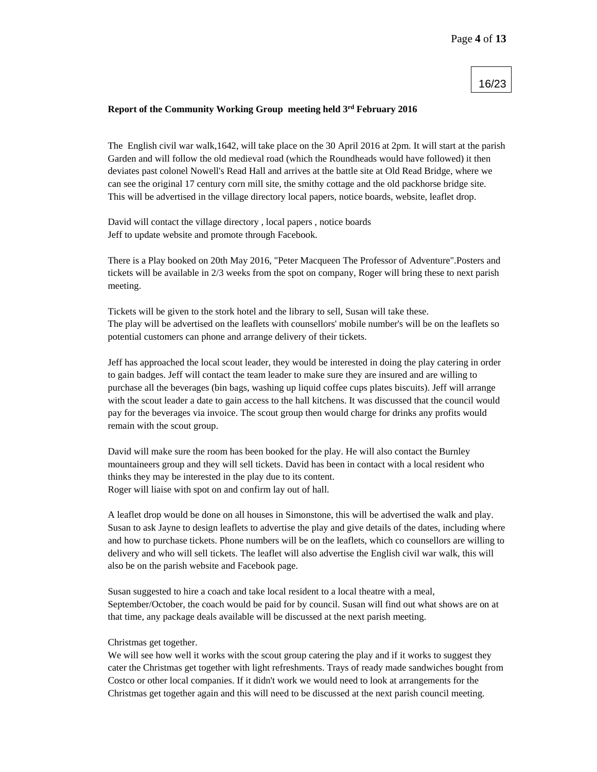#### 16/23

#### **Report of the Community Working Group meeting held 3rd February 2016**

The English civil war walk,1642, will take place on the 30 April 2016 at 2pm. It will start at the parish Garden and will follow the old medieval road (which the Roundheads would have followed) it then deviates past colonel Nowell's Read Hall and arrives at the battle site at Old Read Bridge, where we can see the original 17 century corn mill site, the smithy cottage and the old packhorse bridge site. This will be advertised in the village directory local papers, notice boards, website, leaflet drop.

David will contact the village directory , local papers , notice boards Jeff to update website and promote through Facebook.

There is a Play booked on 20th May 2016, "Peter Macqueen The Professor of Adventure".Posters and tickets will be available in 2/3 weeks from the spot on company, Roger will bring these to next parish meeting.

Tickets will be given to the stork hotel and the library to sell, Susan will take these. The play will be advertised on the leaflets with counsellors' mobile number's will be on the leaflets so potential customers can phone and arrange delivery of their tickets.

Jeff has approached the local scout leader, they would be interested in doing the play catering in order to gain badges. Jeff will contact the team leader to make sure they are insured and are willing to purchase all the beverages (bin bags, washing up liquid coffee cups plates biscuits). Jeff will arrange with the scout leader a date to gain access to the hall kitchens. It was discussed that the council would pay for the beverages via invoice. The scout group then would charge for drinks any profits would remain with the scout group.

David will make sure the room has been booked for the play. He will also contact the Burnley mountaineers group and they will sell tickets. David has been in contact with a local resident who thinks they may be interested in the play due to its content. Roger will liaise with spot on and confirm lay out of hall.

A leaflet drop would be done on all houses in Simonstone, this will be advertised the walk and play. Susan to ask Jayne to design leaflets to advertise the play and give details of the dates, including where and how to purchase tickets. Phone numbers will be on the leaflets, which co counsellors are willing to delivery and who will sell tickets. The leaflet will also advertise the English civil war walk, this will also be on the parish website and Facebook page.

Susan suggested to hire a coach and take local resident to a local theatre with a meal, September/October, the coach would be paid for by council. Susan will find out what shows are on at that time, any package deals available will be discussed at the next parish meeting.

#### Christmas get together.

We will see how well it works with the scout group catering the play and if it works to suggest they cater the Christmas get together with light refreshments. Trays of ready made sandwiches bought from Costco or other local companies. If it didn't work we would need to look at arrangements for the Christmas get together again and this will need to be discussed at the next parish council meeting.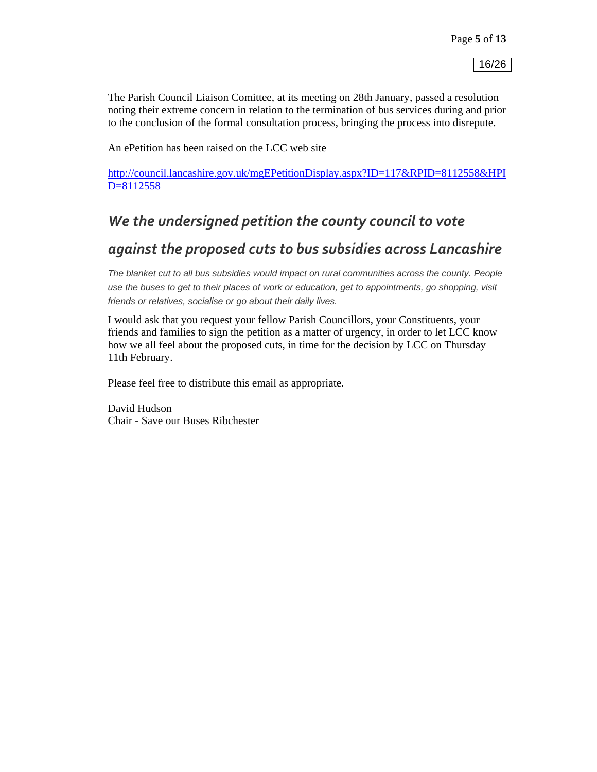The Parish Council Liaison Comittee, at its meeting on 28th January, passed a resolution noting their extreme concern in relation to the termination of bus services during and prior to the conclusion of the formal consultation process, bringing the process into disrepute.

An ePetition has been raised on the LCC web site

http://council.lancashire.gov.uk/mgEPetitionDisplay.aspx?ID=117&RPID=8112558&HPI D=8112558

# *We the undersigned petition the county council to vote*

# *against the proposed cuts to bus subsidies across Lancashire*

*The blanket cut to all bus subsidies would impact on rural communities across the county. People use the buses to get to their places of work or education, get to appointments, go shopping, visit friends or relatives, socialise or go about their daily lives.*

I would ask that you request your fellow Parish Councillors, your Constituents, your friends and families to sign the petition as a matter of urgency, in order to let LCC know how we all feel about the proposed cuts, in time for the decision by LCC on Thursday 11th February.

Please feel free to distribute this email as appropriate.

David Hudson Chair - Save our Buses Ribchester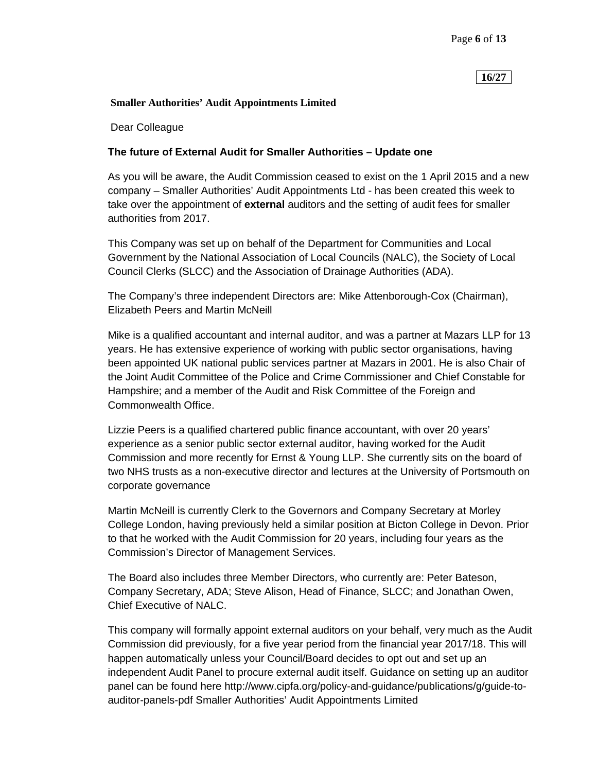# **16/27**

### **Smaller Authorities' Audit Appointments Limited**

Dear Colleague

# **The future of External Audit for Smaller Authorities – Update one**

As you will be aware, the Audit Commission ceased to exist on the 1 April 2015 and a new company – Smaller Authorities' Audit Appointments Ltd - has been created this week to take over the appointment of **external** auditors and the setting of audit fees for smaller authorities from 2017.

This Company was set up on behalf of the Department for Communities and Local Government by the National Association of Local Councils (NALC), the Society of Local Council Clerks (SLCC) and the Association of Drainage Authorities (ADA).

The Company's three independent Directors are: Mike Attenborough-Cox (Chairman), Elizabeth Peers and Martin McNeill

Mike is a qualified accountant and internal auditor, and was a partner at Mazars LLP for 13 years. He has extensive experience of working with public sector organisations, having been appointed UK national public services partner at Mazars in 2001. He is also Chair of the Joint Audit Committee of the Police and Crime Commissioner and Chief Constable for Hampshire; and a member of the Audit and Risk Committee of the Foreign and Commonwealth Office.

Lizzie Peers is a qualified chartered public finance accountant, with over 20 years' experience as a senior public sector external auditor, having worked for the Audit Commission and more recently for Ernst & Young LLP. She currently sits on the board of two NHS trusts as a non-executive director and lectures at the University of Portsmouth on corporate governance

Martin McNeill is currently Clerk to the Governors and Company Secretary at Morley College London, having previously held a similar position at Bicton College in Devon. Prior to that he worked with the Audit Commission for 20 years, including four years as the Commission's Director of Management Services.

The Board also includes three Member Directors, who currently are: Peter Bateson, Company Secretary, ADA; Steve Alison, Head of Finance, SLCC; and Jonathan Owen, Chief Executive of NALC.

This company will formally appoint external auditors on your behalf, very much as the Audit Commission did previously, for a five year period from the financial year 2017/18. This will happen automatically unless your Council/Board decides to opt out and set up an independent Audit Panel to procure external audit itself. Guidance on setting up an auditor panel can be found here http://www.cipfa.org/policy-and-guidance/publications/g/guide-toauditor-panels-pdf Smaller Authorities' Audit Appointments Limited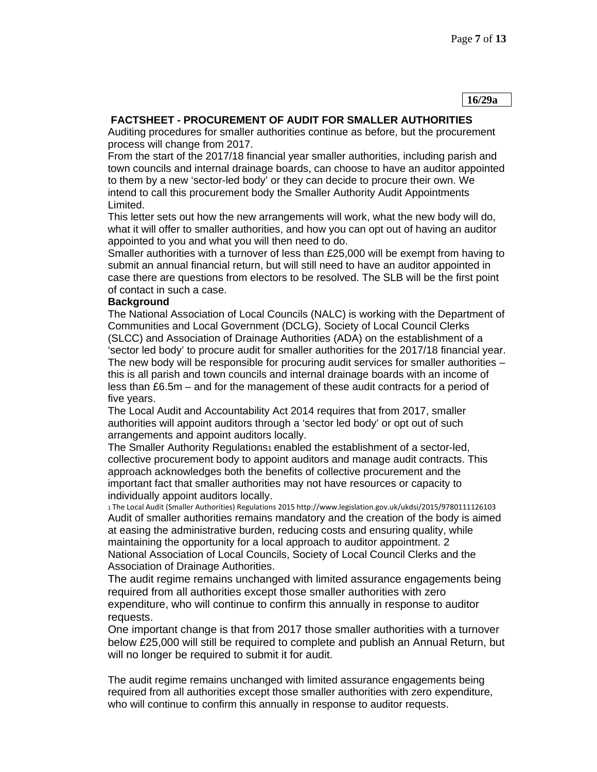**16/29a** 

# **FACTSHEET - PROCUREMENT OF AUDIT FOR SMALLER AUTHORITIES**

Auditing procedures for smaller authorities continue as before, but the procurement process will change from 2017.

From the start of the 2017/18 financial year smaller authorities, including parish and town councils and internal drainage boards, can choose to have an auditor appointed to them by a new 'sector-led body' or they can decide to procure their own. We intend to call this procurement body the Smaller Authority Audit Appointments Limited.

This letter sets out how the new arrangements will work, what the new body will do, what it will offer to smaller authorities, and how you can opt out of having an auditor appointed to you and what you will then need to do.

Smaller authorities with a turnover of less than £25,000 will be exempt from having to submit an annual financial return, but will still need to have an auditor appointed in case there are questions from electors to be resolved. The SLB will be the first point of contact in such a case.

## **Background**

The National Association of Local Councils (NALC) is working with the Department of Communities and Local Government (DCLG), Society of Local Council Clerks (SLCC) and Association of Drainage Authorities (ADA) on the establishment of a 'sector led body' to procure audit for smaller authorities for the 2017/18 financial year. The new body will be responsible for procuring audit services for smaller authorities – this is all parish and town councils and internal drainage boards with an income of less than £6.5m – and for the management of these audit contracts for a period of five years.

The Local Audit and Accountability Act 2014 requires that from 2017, smaller authorities will appoint auditors through a 'sector led body' or opt out of such arrangements and appoint auditors locally.

The Smaller Authority Regulations<sub>1</sub> enabled the establishment of a sector-led. collective procurement body to appoint auditors and manage audit contracts. This approach acknowledges both the benefits of collective procurement and the important fact that smaller authorities may not have resources or capacity to individually appoint auditors locally.

<sup>1</sup>The Local Audit (Smaller Authorities) Regulations 2015 http://www.legislation.gov.uk/ukdsi/2015/9780111126103 Audit of smaller authorities remains mandatory and the creation of the body is aimed at easing the administrative burden, reducing costs and ensuring quality, while maintaining the opportunity for a local approach to auditor appointment. 2 National Association of Local Councils, Society of Local Council Clerks and the Association of Drainage Authorities.

The audit regime remains unchanged with limited assurance engagements being required from all authorities except those smaller authorities with zero expenditure, who will continue to confirm this annually in response to auditor requests.

One important change is that from 2017 those smaller authorities with a turnover below £25,000 will still be required to complete and publish an Annual Return, but will no longer be required to submit it for audit.

The audit regime remains unchanged with limited assurance engagements being required from all authorities except those smaller authorities with zero expenditure, who will continue to confirm this annually in response to auditor requests.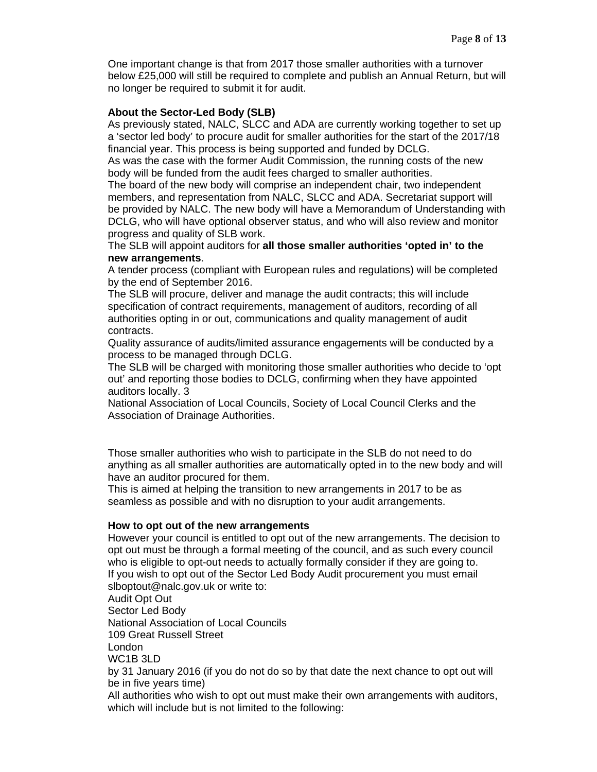One important change is that from 2017 those smaller authorities with a turnover below £25,000 will still be required to complete and publish an Annual Return, but will no longer be required to submit it for audit.

### **About the Sector-Led Body (SLB)**

As previously stated, NALC, SLCC and ADA are currently working together to set up a 'sector led body' to procure audit for smaller authorities for the start of the 2017/18 financial year. This process is being supported and funded by DCLG.

As was the case with the former Audit Commission, the running costs of the new body will be funded from the audit fees charged to smaller authorities.

The board of the new body will comprise an independent chair, two independent members, and representation from NALC, SLCC and ADA. Secretariat support will be provided by NALC. The new body will have a Memorandum of Understanding with DCLG, who will have optional observer status, and who will also review and monitor progress and quality of SLB work.

The SLB will appoint auditors for **all those smaller authorities 'opted in' to the new arrangements**.

A tender process (compliant with European rules and regulations) will be completed by the end of September 2016.

The SLB will procure, deliver and manage the audit contracts; this will include specification of contract requirements, management of auditors, recording of all authorities opting in or out, communications and quality management of audit contracts.

Quality assurance of audits/limited assurance engagements will be conducted by a process to be managed through DCLG.

The SLB will be charged with monitoring those smaller authorities who decide to 'opt out' and reporting those bodies to DCLG, confirming when they have appointed auditors locally. 3

National Association of Local Councils, Society of Local Council Clerks and the Association of Drainage Authorities.

Those smaller authorities who wish to participate in the SLB do not need to do anything as all smaller authorities are automatically opted in to the new body and will have an auditor procured for them.

This is aimed at helping the transition to new arrangements in 2017 to be as seamless as possible and with no disruption to your audit arrangements.

#### **How to opt out of the new arrangements**

However your council is entitled to opt out of the new arrangements. The decision to opt out must be through a formal meeting of the council, and as such every council who is eligible to opt-out needs to actually formally consider if they are going to. If you wish to opt out of the Sector Led Body Audit procurement you must email slboptout@nalc.gov.uk or write to: Audit Opt Out Sector Led Body National Association of Local Councils 109 Great Russell Street London WC1B 3LD by 31 January 2016 (if you do not do so by that date the next chance to opt out will be in five years time)

All authorities who wish to opt out must make their own arrangements with auditors, which will include but is not limited to the following: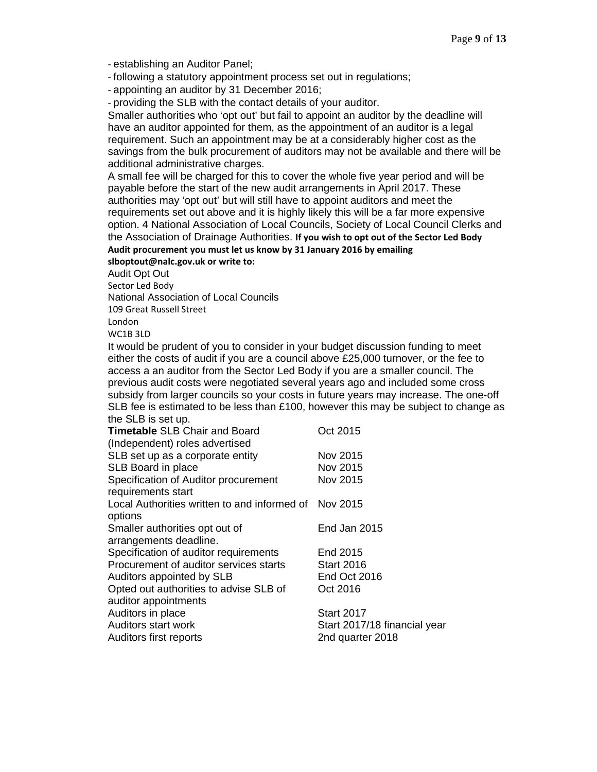‐ establishing an Auditor Panel;

- ‐ following a statutory appointment process set out in regulations;
- ‐ appointing an auditor by 31 December 2016;

‐ providing the SLB with the contact details of your auditor.

Smaller authorities who 'opt out' but fail to appoint an auditor by the deadline will have an auditor appointed for them, as the appointment of an auditor is a legal requirement. Such an appointment may be at a considerably higher cost as the savings from the bulk procurement of auditors may not be available and there will be additional administrative charges.

A small fee will be charged for this to cover the whole five year period and will be payable before the start of the new audit arrangements in April 2017. These authorities may 'opt out' but will still have to appoint auditors and meet the requirements set out above and it is highly likely this will be a far more expensive option. 4 National Association of Local Councils, Society of Local Council Clerks and the Association of Drainage Authorities. **If you wish to opt out of the Sector Led Body Audit procurement you must let us know by 31 January 2016 by emailing**

## **slboptout@nalc.gov.uk or write to:**

Audit Opt Out

Sector Led Body

National Association of Local Councils

109 Great Russell Street

London

WC1B 3LD

It would be prudent of you to consider in your budget discussion funding to meet either the costs of audit if you are a council above £25,000 turnover, or the fee to access a an auditor from the Sector Led Body if you are a smaller council. The previous audit costs were negotiated several years ago and included some cross subsidy from larger councils so your costs in future years may increase. The one-off SLB fee is estimated to be less than £100, however this may be subject to change as the SLB is set up.

| <b>Timetable SLB Chair and Board</b>                  | Oct 2015                     |
|-------------------------------------------------------|------------------------------|
| (Independent) roles advertised                        |                              |
| SLB set up as a corporate entity                      | Nov 2015                     |
| SLB Board in place                                    | Nov 2015                     |
| Specification of Auditor procurement                  | Nov 2015                     |
| requirements start                                    |                              |
| Local Authorities written to and informed of Nov 2015 |                              |
| options                                               |                              |
| Smaller authorities opt out of                        | End Jan 2015                 |
| arrangements deadline.                                |                              |
| Specification of auditor requirements                 | End 2015                     |
| Procurement of auditor services starts                | <b>Start 2016</b>            |
| Auditors appointed by SLB                             | End Oct 2016                 |
| Opted out authorities to advise SLB of                | Oct 2016                     |
| auditor appointments                                  |                              |
| Auditors in place                                     | <b>Start 2017</b>            |
| Auditors start work                                   | Start 2017/18 financial year |
| Auditors first reports                                | 2nd quarter 2018             |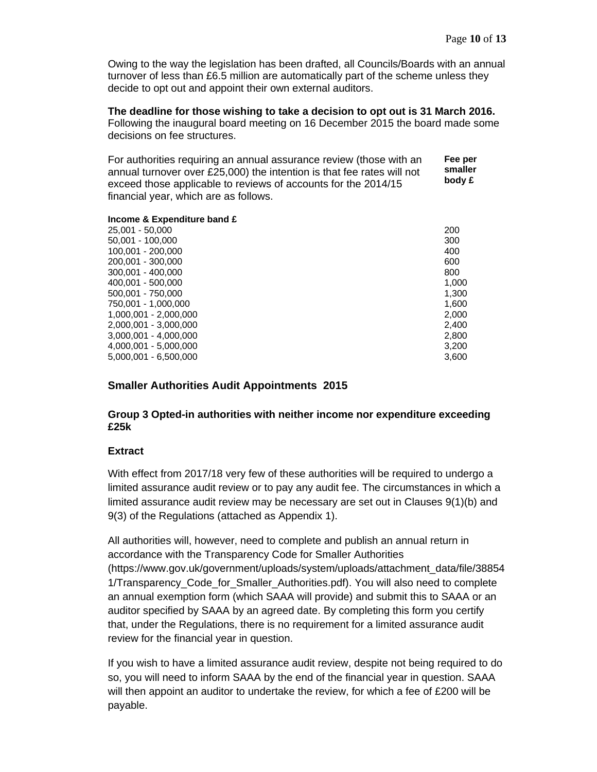Owing to the way the legislation has been drafted, all Councils/Boards with an annual turnover of less than £6.5 million are automatically part of the scheme unless they decide to opt out and appoint their own external auditors.

# **The deadline for those wishing to take a decision to opt out is 31 March 2016.**

Following the inaugural board meeting on 16 December 2015 the board made some decisions on fee structures.

For authorities requiring an annual assurance review (those with an annual turnover over £25,000) the intention is that fee rates will not exceed those applicable to reviews of accounts for the 2014/15 financial year, which are as follows. **Fee per smaller body £** 

#### **Income & Expenditure band £**

| 25,001 - 50,000       | 200   |
|-----------------------|-------|
| 50,001 - 100,000      | 300   |
| 100,001 - 200,000     | 400   |
| 200,001 - 300,000     | 600   |
| 300,001 - 400,000     | 800   |
| 400.001 - 500.000     | 1,000 |
| 500.001 - 750.000     | 1,300 |
| 750,001 - 1,000,000   | 1,600 |
| 1.000.001 - 2.000.000 | 2,000 |
| 2.000.001 - 3.000.000 | 2,400 |
| 3.000.001 - 4.000.000 | 2,800 |
| 4.000.001 - 5.000.000 | 3,200 |
| 5.000.001 - 6.500.000 | 3,600 |
|                       |       |

# **Smaller Authorities Audit Appointments 2015**

# **Group 3 Opted-in authorities with neither income nor expenditure exceeding £25k**

# **Extract**

With effect from 2017/18 very few of these authorities will be required to undergo a limited assurance audit review or to pay any audit fee. The circumstances in which a limited assurance audit review may be necessary are set out in Clauses 9(1)(b) and 9(3) of the Regulations (attached as Appendix 1).

All authorities will, however, need to complete and publish an annual return in accordance with the Transparency Code for Smaller Authorities (https://www.gov.uk/government/uploads/system/uploads/attachment\_data/file/38854 1/Transparency\_Code\_for\_Smaller\_Authorities.pdf). You will also need to complete an annual exemption form (which SAAA will provide) and submit this to SAAA or an auditor specified by SAAA by an agreed date. By completing this form you certify that, under the Regulations, there is no requirement for a limited assurance audit review for the financial year in question.

If you wish to have a limited assurance audit review, despite not being required to do so, you will need to inform SAAA by the end of the financial year in question. SAAA will then appoint an auditor to undertake the review, for which a fee of £200 will be payable.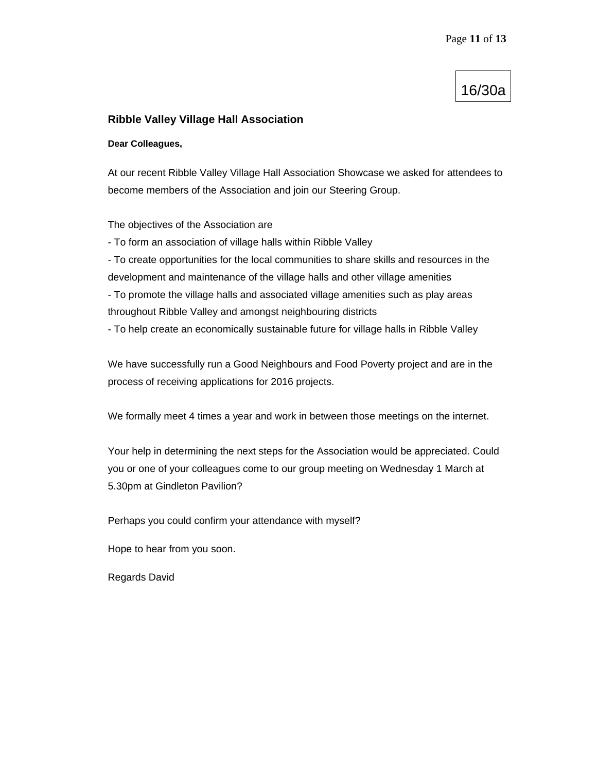# 16/30a

# **Ribble Valley Village Hall Association**

#### **Dear Colleagues,**

At our recent Ribble Valley Village Hall Association Showcase we asked for attendees to become members of the Association and join our Steering Group.

The objectives of the Association are

- To form an association of village halls within Ribble Valley

- To create opportunities for the local communities to share skills and resources in the development and maintenance of the village halls and other village amenities

- To promote the village halls and associated village amenities such as play areas throughout Ribble Valley and amongst neighbouring districts

- To help create an economically sustainable future for village halls in Ribble Valley

We have successfully run a Good Neighbours and Food Poverty project and are in the process of receiving applications for 2016 projects.

We formally meet 4 times a year and work in between those meetings on the internet.

Your help in determining the next steps for the Association would be appreciated. Could you or one of your colleagues come to our group meeting on Wednesday 1 March at 5.30pm at Gindleton Pavilion?

Perhaps you could confirm your attendance with myself?

Hope to hear from you soon.

Regards David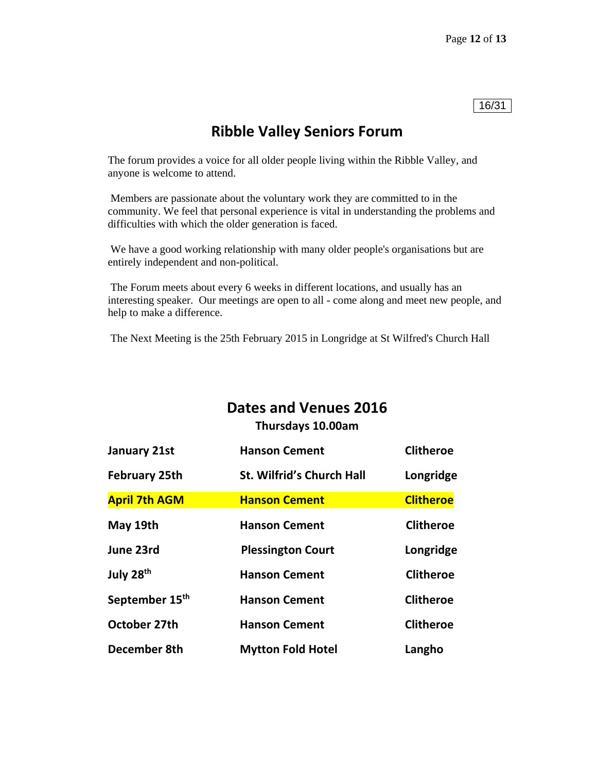# 16/31

# **Ribble Valley Seniors Forum**

The forum provides a voice for all older people living within the Ribble Valley, and anyone is welcome to attend.

 Members are passionate about the voluntary work they are committed to in the community. We feel that personal experience is vital in understanding the problems and difficulties with which the older generation is faced.

 We have a good working relationship with many older people's organisations but are entirely independent and non-political.

 The Forum meets about every 6 weeks in different locations, and usually has an interesting speaker. Our meetings are open to all - come along and meet new people, and help to make a difference.

The Next Meeting is the 25th February 2015 in Longridge at St Wilfred's Church Hall

# **Dates and Venues 2016**

**Thursdays 10.00am** 

| <b>January 21st</b>        | <b>Hanson Cement</b>             | <b>Clitheroe</b> |
|----------------------------|----------------------------------|------------------|
| <b>February 25th</b>       | <b>St. Wilfrid's Church Hall</b> | Longridge        |
| <b>April 7th AGM</b>       | <b>Hanson Cement</b>             | <b>Clitheroe</b> |
| May 19th                   | <b>Hanson Cement</b>             | <b>Clitheroe</b> |
| June 23rd                  | <b>Plessington Court</b>         | Longridge        |
| July 28 <sup>th</sup>      | <b>Hanson Cement</b>             | <b>Clitheroe</b> |
| September 15 <sup>th</sup> | <b>Hanson Cement</b>             | <b>Clitheroe</b> |
| October 27th               | <b>Hanson Cement</b>             | <b>Clitheroe</b> |
| December 8th               | <b>Mytton Fold Hotel</b>         | Langho           |